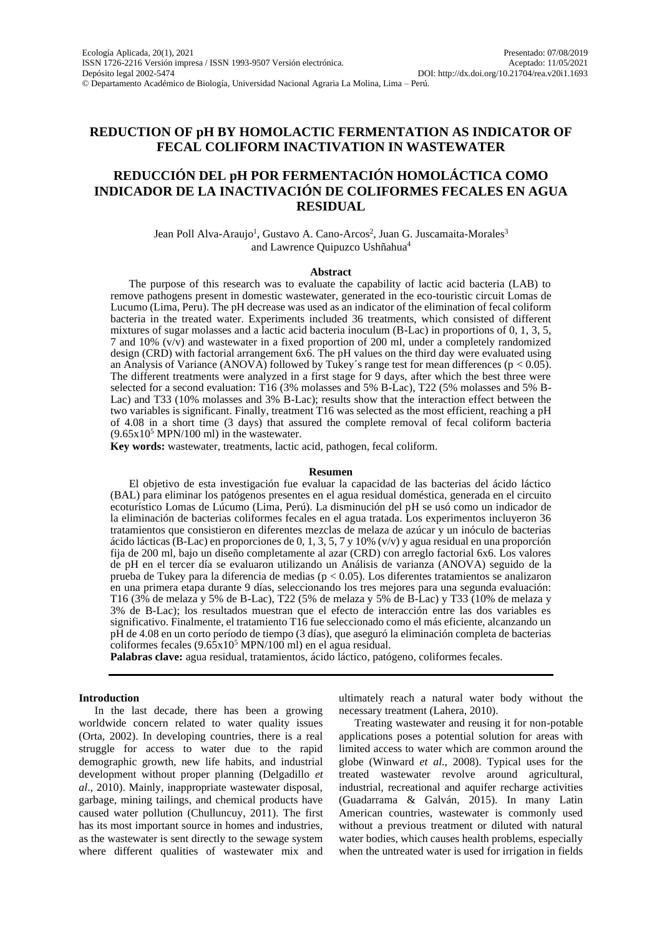## **REDUCTION OF pH BY HOMOLACTIC FERMENTATION AS INDICATOR OF FECAL COLIFORM INACTIVATION IN WASTEWATER**

# **REDUCCIÓN DEL pH POR FERMENTACIÓN HOMOLÁCTICA COMO INDICADOR DE LA INACTIVACIÓN DE COLIFORMES FECALES EN AGUA RESIDUAL**

Jean Poll Alva-Araujo<sup>1</sup>, Gustavo A. Cano-Arcos<sup>2</sup>, Juan G. Juscamaita-Morales<sup>3</sup> and Lawrence Quipuzco Ushñahua<sup>4</sup>

#### **Abstract**

The purpose of this research was to evaluate the capability of lactic acid bacteria (LAB) to remove pathogens present in domestic wastewater, generated in the eco-touristic circuit Lomas de Lucumo (Lima, Peru). The pH decrease was used as an indicator of the elimination of fecal coliform bacteria in the treated water. Experiments included 36 treatments, which consisted of different mixtures of sugar molasses and a lactic acid bacteria inoculum (B-Lac) in proportions of 0, 1, 3, 5, 7 and 10% (v/v) and wastewater in a fixed proportion of 200 ml, under a completely randomized design (CRD) with factorial arrangement 6x6. The pH values on the third day were evaluated using an Analysis of Variance (ANOVA) followed by Tukey's range test for mean differences ( $p < 0.05$ ). The different treatments were analyzed in a first stage for 9 days, after which the best three were selected for a second evaluation: T16 (3% molasses and 5% B-Lac), T22 (5% molasses and 5% B-Lac) and T33 (10% molasses and 3% B-Lac); results show that the interaction effect between the two variables is significant. Finally, treatment T16 was selected as the most efficient, reaching a pH of 4.08 in a short time (3 days) that assured the complete removal of fecal coliform bacteria  $(9.65 \times 10^5 \text{ MPN}/100 \text{ ml})$  in the wastewater.

**Key words:** wastewater, treatments, lactic acid, pathogen, fecal coliform.

#### **Resumen**

El objetivo de esta investigación fue evaluar la capacidad de las bacterias del ácido láctico (BAL) para eliminar los patógenos presentes en el agua residual doméstica, generada en el circuito ecoturístico Lomas de Lúcumo (Lima, Perú). La disminución del pH se usó como un indicador de la eliminación de bacterias coliformes fecales en el agua tratada. Los experimentos incluyeron 36 tratamientos que consistieron en diferentes mezclas de melaza de azúcar y un inóculo de bacterias ácido lácticas (B-Lac) en proporciones de 0, 1, 3, 5, 7 y 10% (v/v) y agua residual en una proporción fija de 200 ml, bajo un diseño completamente al azar (CRD) con arreglo factorial 6x6. Los valores de pH en el tercer día se evaluaron utilizando un Análisis de varianza (ANOVA) seguido de la prueba de Tukey para la diferencia de medias (p < 0.05). Los diferentes tratamientos se analizaron en una primera etapa durante 9 días, seleccionando los tres mejores para una segunda evaluación: T16 (3% de melaza y 5% de B-Lac), T22 (5% de melaza y 5% de B-Lac) y T33 (10% de melaza y 3% de B-Lac); los resultados muestran que el efecto de interacción entre las dos variables es significativo. Finalmente, el tratamiento T16 fue seleccionado como el más eficiente, alcanzando un pH de 4.08 en un corto período de tiempo (3 días), que aseguró la eliminación completa de bacterias coliformes fecales  $(9.65x10^5 \text{ MPN}/100 \text{ ml})$  en el agua residual.

**Palabras clave:** agua residual, tratamientos, ácido láctico, patógeno, coliformes fecales.

#### **Introduction**

In the last decade, there has been a growing worldwide concern related to water quality issues (Orta, 2002). In developing countries, there is a real struggle for access to water due to the rapid demographic growth, new life habits, and industrial development without proper planning (Delgadillo *et al*., 2010). Mainly, inappropriate wastewater disposal, garbage, mining tailings, and chemical products have caused water pollution (Chulluncuy, 2011). The first has its most important source in homes and industries, as the wastewater is sent directly to the sewage system where different qualities of wastewater mix and

ultimately reach a natural water body without the necessary treatment (Lahera, 2010).

Treating wastewater and reusing it for non-potable applications poses a potential solution for areas with limited access to water which are common around the globe (Winward *et al*., 2008). Typical uses for the treated wastewater revolve around agricultural, industrial, recreational and aquifer recharge activities (Guadarrama & Galván, 2015). In many Latin American countries, wastewater is commonly used without a previous treatment or diluted with natural water bodies, which causes health problems, especially when the untreated water is used for irrigation in fields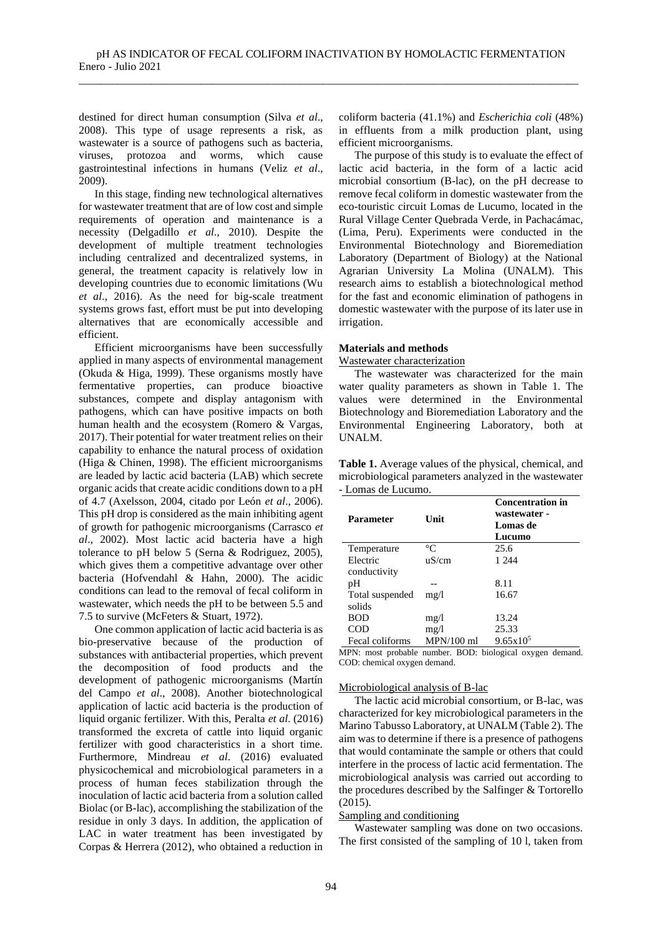destined for direct human consumption (Silva *et al*., 2008). This type of usage represents a risk, as wastewater is a source of pathogens such as bacteria, viruses, protozoa and worms, which cause gastrointestinal infections in humans (Veliz *et al*., 2009).

In this stage, finding new technological alternatives for wastewater treatment that are of low cost and simple requirements of operation and maintenance is a necessity (Delgadillo *et al*., 2010). Despite the development of multiple treatment technologies including centralized and decentralized systems, in general, the treatment capacity is relatively low in developing countries due to economic limitations (Wu *et al*., 2016). As the need for big-scale treatment systems grows fast, effort must be put into developing alternatives that are economically accessible and efficient.

Efficient microorganisms have been successfully applied in many aspects of environmental management (Okuda & Higa, 1999). These organisms mostly have fermentative properties, can produce bioactive substances, compete and display antagonism with pathogens, which can have positive impacts on both human health and the ecosystem (Romero & Vargas, 2017). Their potential for water treatment relies on their capability to enhance the natural process of oxidation (Higa & Chinen, 1998). The efficient microorganisms are leaded by lactic acid bacteria (LAB) which secrete organic acids that create acidic conditions down to a pH of 4.7 (Axelsson, 2004, citado por León *et al*., 2006). This pH drop is considered as the main inhibiting agent of growth for pathogenic microorganisms (Carrasco *et al*., 2002). Most lactic acid bacteria have a high tolerance to pH below 5 (Serna & Rodriguez, 2005), which gives them a competitive advantage over other bacteria (Hofvendahl & Hahn, 2000). The acidic conditions can lead to the removal of fecal coliform in wastewater, which needs the pH to be between 5.5 and 7.5 to survive (McFeters & Stuart, 1972).

One common application of lactic acid bacteria is as bio-preservative because of the production of substances with antibacterial properties, which prevent the decomposition of food products and the development of pathogenic microorganisms (Martín del Campo *et al*., 2008). Another biotechnological application of lactic acid bacteria is the production of liquid organic fertilizer. With this, Peralta *et al*. (2016) transformed the excreta of cattle into liquid organic fertilizer with good characteristics in a short time. Furthermore, Mindreau *et al*. (2016) evaluated physicochemical and microbiological parameters in a process of human feces stabilization through the inoculation of lactic acid bacteria from a solution called Biolac (or B-lac), accomplishing the stabilization of the residue in only 3 days. In addition, the application of LAC in water treatment has been investigated by Corpas & Herrera (2012), who obtained a reduction in

coliform bacteria (41.1%) and *Escherichia coli* (48%) in effluents from a milk production plant, using efficient microorganisms.

The purpose of this study is to evaluate the effect of lactic acid bacteria, in the form of a lactic acid microbial consortium (B-lac), on the pH decrease to remove fecal coliform in domestic wastewater from the eco-touristic circuit Lomas de Lucumo, located in the Rural Village Center Quebrada Verde, in Pachacámac, (Lima, Peru). Experiments were conducted in the Environmental Biotechnology and Bioremediation Laboratory (Department of Biology) at the National Agrarian University La Molina (UNALM). This research aims to establish a biotechnological method for the fast and economic elimination of pathogens in domestic wastewater with the purpose of its later use in irrigation.

### **Materials and methods**

### Wastewater characterization

The wastewater was characterized for the main water quality parameters as shown in Table 1. The values were determined in the Environmental Biotechnology and Bioremediation Laboratory and the Environmental Engineering Laboratory, both at UNALM.

**Table 1.** Average values of the physical, chemical, and microbiological parameters analyzed in the wastewater - Lomas de Lucumo.

| Parameter       | Unit            | <b>Concentration in</b><br>wastewater -<br>Lomas de<br>Lucumo |
|-----------------|-----------------|---------------------------------------------------------------|
| Temperature     | $\rm ^{\circ}C$ | 25.6                                                          |
| Electric        | uS/cm           | 1 244                                                         |
| conductivity    |                 |                                                               |
| pH              |                 | 8.11                                                          |
| Total suspended | mg/l            | 16.67                                                         |
| solids          |                 |                                                               |
| <b>BOD</b>      | mg/1            | 13.24                                                         |
| COD             | mg/l            | 25.33                                                         |
| Fecal coliforms | $MPN/100$ ml    | $9.65 \times 10^5$                                            |

MPN: most probable number. BOD: biological oxygen demand. COD: chemical oxygen demand.

### Microbiological analysis of B-lac

The lactic acid microbial consortium, or B-lac, was characterized for key microbiological parameters in the Marino Tabusso Laboratory, at UNALM (Table 2). The aim was to determine if there is a presence of pathogens that would contaminate the sample or others that could interfere in the process of lactic acid fermentation. The microbiological analysis was carried out according to the procedures described by the Salfinger & Tortorello (2015).

### Sampling and conditioning

Wastewater sampling was done on two occasions. The first consisted of the sampling of 10 l, taken from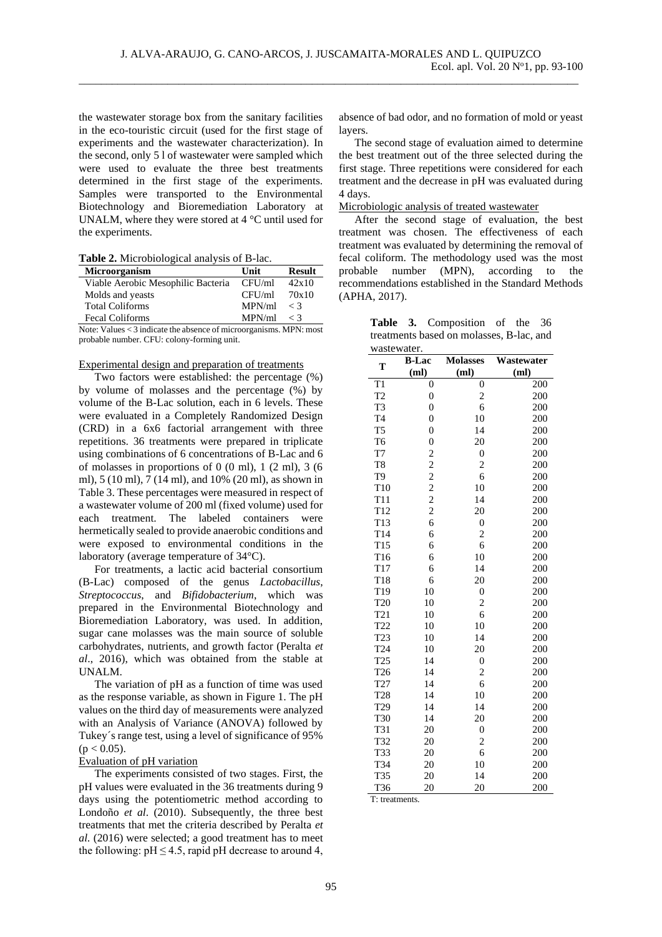the wastewater storage box from the sanitary facilities in the eco-touristic circuit (used for the first stage of experiments and the wastewater characterization). In the second, only 5 l of wastewater were sampled which were used to evaluate the three best treatments determined in the first stage of the experiments. Samples were transported to the Environmental Biotechnology and Bioremediation Laboratory at UNALM, where they were stored at 4 °C until used for the experiments.

|  | Table 2. Microbiological analysis of B-lac. |  |
|--|---------------------------------------------|--|
|  |                                             |  |

| <b>Microorganism</b>                                               | Unit       | <b>Result</b> |  |  |  |
|--------------------------------------------------------------------|------------|---------------|--|--|--|
| Viable Aerobic Mesophilic Bacteria                                 | CFU/ml     | 42x10         |  |  |  |
| Molds and yeasts                                                   | CFU/ml     | 70x10         |  |  |  |
| <b>Total Coliforms</b>                                             | MPN/ml     | $\langle$ 3   |  |  |  |
| <b>Fecal Coliforms</b>                                             | MPN/ml < 3 |               |  |  |  |
| Note: Values < 3 indicate the absence of microorganisms. MPN: most |            |               |  |  |  |

probable number. CFU: colony-forming unit.

#### Experimental design and preparation of treatments

Two factors were established: the percentage (%) by volume of molasses and the percentage (%) by volume of the B-Lac solution, each in 6 levels. These were evaluated in a Completely Randomized Design (CRD) in a 6x6 factorial arrangement with three repetitions. 36 treatments were prepared in triplicate using combinations of 6 concentrations of B-Lac and 6 of molasses in proportions of  $0$  (0 ml),  $1$  (2 ml),  $3$  (6 ml), 5 (10 ml), 7 (14 ml), and 10% (20 ml), as shown in Table 3. These percentages were measured in respect of a wastewater volume of 200 ml (fixed volume) used for each treatment. The labeled containers were hermetically sealed to provide anaerobic conditions and were exposed to environmental conditions in the laboratory (average temperature of 34°C).

For treatments, a lactic acid bacterial consortium (B-Lac) composed of the genus *Lactobacillus*, *Streptococcus*, and *Bifidobacterium*, which was prepared in the Environmental Biotechnology and Bioremediation Laboratory, was used. In addition, sugar cane molasses was the main source of soluble carbohydrates, nutrients, and growth factor (Peralta *et al*., 2016), which was obtained from the stable at UNALM.

The variation of pH as a function of time was used as the response variable, as shown in Figure 1. The pH values on the third day of measurements were analyzed with an Analysis of Variance (ANOVA) followed by Tukey´s range test, using a level of significance of 95%  $(p < 0.05)$ .

### Evaluation of pH variation

The experiments consisted of two stages. First, the pH values were evaluated in the 36 treatments during 9 days using the potentiometric method according to Londoño *et al*. (2010). Subsequently, the three best treatments that met the criteria described by Peralta *et al.* (2016) were selected; a good treatment has to meet the following:  $pH \le 4.5$ , rapid pH decrease to around 4,

absence of bad odor, and no formation of mold or yeast layers.

The second stage of evaluation aimed to determine the best treatment out of the three selected during the first stage. Three repetitions were considered for each treatment and the decrease in pH was evaluated during 4 days.

Microbiologic analysis of treated wastewater

After the second stage of evaluation, the best treatment was chosen. The effectiveness of each treatment was evaluated by determining the removal of fecal coliform. The methodology used was the most probable number (MPN), according to the recommendations established in the Standard Methods (APHA, 2017).

|             | <b>Table 3.</b> Composition of the 36    |  |  |
|-------------|------------------------------------------|--|--|
|             | treatments based on molasses, B-lac, and |  |  |
| wastewater. |                                          |  |  |

|                 | <b>B-Lac</b>     | <b>Molasses</b>         | Wastewater |
|-----------------|------------------|-------------------------|------------|
| T               | (ml)             | (ml)                    | (ml)       |
| T <sub>1</sub>  | 0                | 0                       | 200        |
| T <sub>2</sub>  | $\mathbf{0}$     | $\overline{\mathbf{c}}$ | 200        |
| T3              | $\overline{0}$   | 6                       | 200        |
| T <sub>4</sub>  | $\boldsymbol{0}$ | 10                      | 200        |
| T <sub>5</sub>  | $\boldsymbol{0}$ | 14                      | 200        |
| T <sub>6</sub>  | $\boldsymbol{0}$ | 20                      | 200        |
| T7              |                  | $\boldsymbol{0}$        | 200        |
| T <sub>8</sub>  |                  | $\overline{\mathbf{c}}$ | 200        |
| T9              |                  | 6                       | 200        |
| T <sub>10</sub> |                  | 10                      | 200        |
| T <sub>11</sub> | 2 2 2 2 2 2      | 14                      | 200        |
| T <sub>12</sub> |                  | 20                      | 200        |
| T <sub>13</sub> | 6                | $\boldsymbol{0}$        | 200        |
| T14             | 6                | $\overline{c}$          | 200        |
| T15             | 6                | 6                       | 200        |
| T <sub>16</sub> | 6                | 10                      | 200        |
| T17             | 6                | 14                      | 200        |
| T <sub>18</sub> | 6                | 20                      | 200        |
| T19             | 10               | $\overline{0}$          | 200        |
| T <sub>20</sub> | 10               | $\overline{c}$          | 200        |
| T <sub>21</sub> | 10               | 6                       | 200        |
| T <sub>22</sub> | 10               | 10                      | 200        |
| T <sub>23</sub> | 10               | 14                      | 200        |
| T <sub>24</sub> | 10               | 20                      | 200        |
| T25             | 14               | $\overline{0}$          | 200        |
| T <sub>26</sub> | 14               | $\overline{c}$          | 200        |
| T <sub>27</sub> | 14               | 6                       | 200        |
| T <sub>28</sub> | 14               | 10                      | 200        |
| T <sub>29</sub> | 14               | 14                      | 200        |
| T30             | 14               | 20                      | 200        |
| T31             | 20               | $\mathbf{0}$            | 200        |
| T32             | 20               | $\overline{c}$          | 200        |
| T33             | 20               | 6                       | 200        |
| T34             | 20               | 10                      | 200        |
| T35             | 20               | 14                      | 200        |
| T36             | 20               | 20                      | 200        |

T: treatments.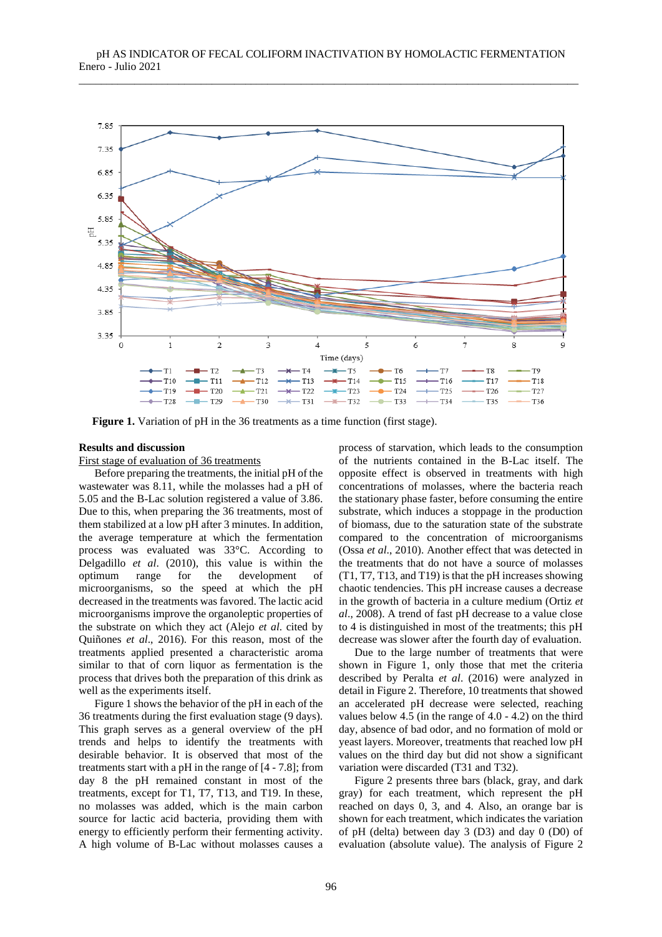

**Figure 1.** Variation of pH in the 36 treatments as a time function (first stage).

### **Results and discussion**

First stage of evaluation of 36 treatments

Before preparing the treatments, the initial pH of the wastewater was 8.11, while the molasses had a pH of 5.05 and the B-Lac solution registered a value of 3.86. Due to this, when preparing the 36 treatments, most of them stabilized at a low pH after 3 minutes. In addition, the average temperature at which the fermentation process was evaluated was 33°C. According to Delgadillo *et al*. (2010), this value is within the optimum range for the development of microorganisms, so the speed at which the pH decreased in the treatments was favored. The lactic acid microorganisms improve the organoleptic properties of the substrate on which they act (Alejo *et al*. cited by Quiñones *et al*., 2016). For this reason, most of the treatments applied presented a characteristic aroma similar to that of corn liquor as fermentation is the process that drives both the preparation of this drink as well as the experiments itself.

Figure 1 shows the behavior of the pH in each of the 36 treatments during the first evaluation stage (9 days). This graph serves as a general overview of the pH trends and helps to identify the treatments with desirable behavior. It is observed that most of the treatments start with a pH in the range of [4 - 7.8]; from day 8 the pH remained constant in most of the treatments, except for T1, T7, T13, and T19. In these, no molasses was added, which is the main carbon source for lactic acid bacteria, providing them with energy to efficiently perform their fermenting activity. A high volume of B-Lac without molasses causes a process of starvation, which leads to the consumption of the nutrients contained in the B-Lac itself. The opposite effect is observed in treatments with high concentrations of molasses, where the bacteria reach the stationary phase faster, before consuming the entire substrate, which induces a stoppage in the production of biomass, due to the saturation state of the substrate compared to the concentration of microorganisms (Ossa *et al*., 2010). Another effect that was detected in the treatments that do not have a source of molasses (T1, T7, T13, and T19) is that the pH increases showing chaotic tendencies. This pH increase causes a decrease in the growth of bacteria in a culture medium (Ortiz *et al*., 2008). A trend of fast pH decrease to a value close to 4 is distinguished in most of the treatments; this pH decrease was slower after the fourth day of evaluation.

Due to the large number of treatments that were shown in Figure 1, only those that met the criteria described by Peralta *et al*. (2016) were analyzed in detail in Figure 2. Therefore, 10 treatments that showed an accelerated pH decrease were selected, reaching values below 4.5 (in the range of 4.0 - 4.2) on the third day, absence of bad odor, and no formation of mold or yeast layers. Moreover, treatments that reached low pH values on the third day but did not show a significant variation were discarded (T31 and T32).

Figure 2 presents three bars (black, gray, and dark gray) for each treatment, which represent the pH reached on days 0, 3, and 4. Also, an orange bar is shown for each treatment, which indicates the variation of pH (delta) between day 3 (D3) and day 0 (D0) of evaluation (absolute value). The analysis of Figure 2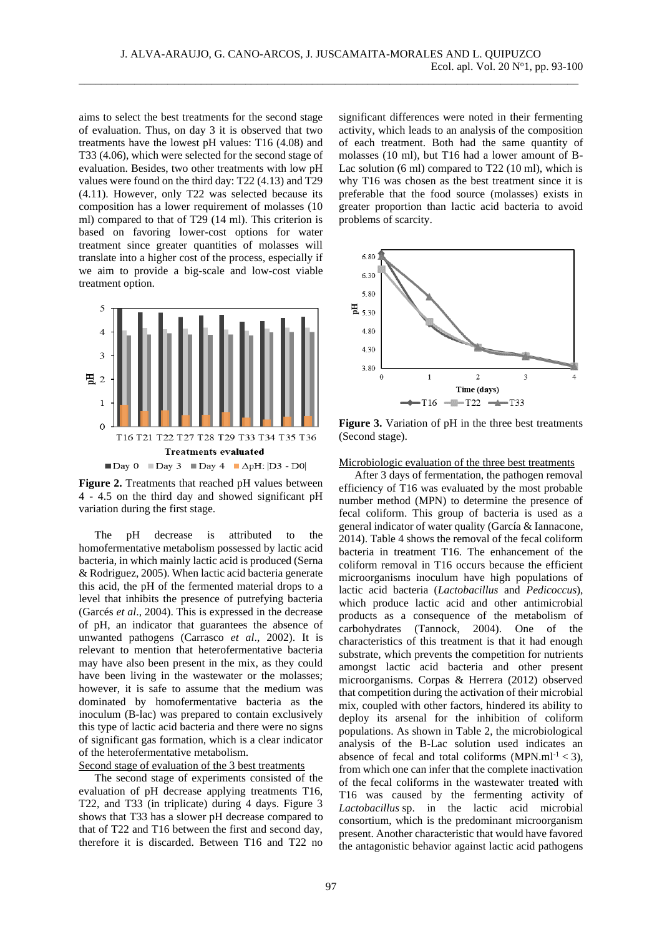aims to select the best treatments for the second stage of evaluation. Thus, on day 3 it is observed that two treatments have the lowest pH values: T16 (4.08) and T33 (4.06), which were selected for the second stage of evaluation. Besides, two other treatments with low pH values were found on the third day: T22 (4.13) and T29 (4.11). However, only T22 was selected because its composition has a lower requirement of molasses (10 ml) compared to that of T29 (14 ml). This criterion is based on favoring lower-cost options for water treatment since greater quantities of molasses will translate into a higher cost of the process, especially if we aim to provide a big-scale and low-cost viable treatment option.





The pH decrease is attributed to the homofermentative metabolism possessed by lactic acid bacteria, in which mainly lactic acid is produced (Serna & Rodriguez, 2005). When lactic acid bacteria generate this acid, the pH of the fermented material drops to a level that inhibits the presence of putrefying bacteria (Garcés *et al*., 2004). This is expressed in the decrease of pH, an indicator that guarantees the absence of unwanted pathogens (Carrasco *et al*., 2002). It is relevant to mention that heterofermentative bacteria may have also been present in the mix, as they could have been living in the wastewater or the molasses; however, it is safe to assume that the medium was dominated by homofermentative bacteria as the inoculum (B-lac) was prepared to contain exclusively this type of lactic acid bacteria and there were no signs of significant gas formation, which is a clear indicator of the heterofermentative metabolism.

## Second stage of evaluation of the 3 best treatments

The second stage of experiments consisted of the evaluation of pH decrease applying treatments T16, T22, and T33 (in triplicate) during 4 days. Figure 3 shows that T33 has a slower pH decrease compared to that of T22 and T16 between the first and second day, therefore it is discarded. Between T16 and T22 no

significant differences were noted in their fermenting activity, which leads to an analysis of the composition of each treatment. Both had the same quantity of molasses (10 ml), but T16 had a lower amount of B-Lac solution (6 ml) compared to T22 (10 ml), which is why T<sub>16</sub> was chosen as the best treatment since it is preferable that the food source (molasses) exists in greater proportion than lactic acid bacteria to avoid problems of scarcity.



**Figure 3.** Variation of pH in the three best treatments (Second stage).

Microbiologic evaluation of the three best treatments

After 3 days of fermentation, the pathogen removal efficiency of T16 was evaluated by the most probable number method (MPN) to determine the presence of fecal coliform. This group of bacteria is used as a general indicator of water quality (García & Iannacone, 2014). Table 4 shows the removal of the fecal coliform bacteria in treatment T16. The enhancement of the coliform removal in T16 occurs because the efficient microorganisms inoculum have high populations of lactic acid bacteria (*Lactobacillus* and *Pedicoccus*), which produce lactic acid and other antimicrobial products as a consequence of the metabolism of carbohydrates (Tannock, 2004). One of the characteristics of this treatment is that it had enough substrate, which prevents the competition for nutrients amongst lactic acid bacteria and other present microorganisms. Corpas & Herrera (2012) observed that competition during the activation of their microbial mix, coupled with other factors, hindered its ability to deploy its arsenal for the inhibition of coliform populations. As shown in Table 2, the microbiological analysis of the B-Lac solution used indicates an absence of fecal and total coliforms  $(MPN.m<sup>1</sup> < 3)$ , from which one can infer that the complete inactivation of the fecal coliforms in the wastewater treated with T16 was caused by the fermenting activity of *Lactobacillus* sp. in the lactic acid microbial consortium, which is the predominant microorganism present. Another characteristic that would have favored the antagonistic behavior against lactic acid pathogens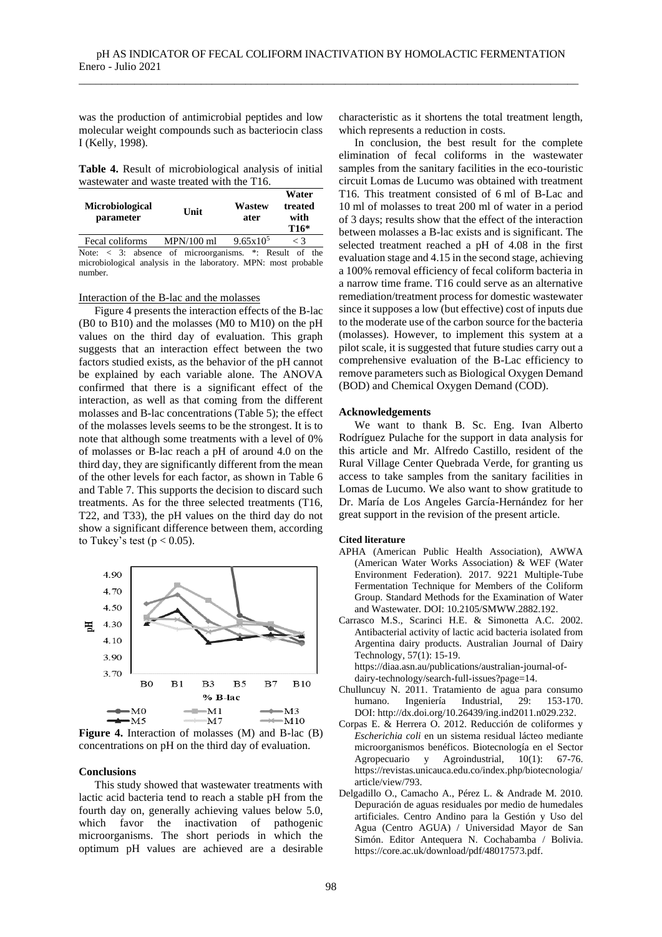was the production of antimicrobial peptides and low molecular weight compounds such as bacteriocin class I (Kelly, 1998).

**Table 4.** Result of microbiological analysis of initial wastewater and waste treated with the T16.

| Microbiological<br>parameter                                           | Unit       | Wastew<br>ater     | Water<br>treated<br>with<br>$T16*$ |
|------------------------------------------------------------------------|------------|--------------------|------------------------------------|
| Fecal coliforms                                                        | MPN/100 ml | $9.65 \times 10^5$ | $\lt$ 3                            |
| Note: $\langle 3; \rangle$ absence of microorganisms. *: Result of the |            |                    |                                    |

microbiological analysis in the laboratory. MPN: most probable number.

Interaction of the B-lac and the molasses

Figure 4 presents the interaction effects of the B-lac (B0 to B10) and the molasses (M0 to M10) on the pH values on the third day of evaluation. This graph suggests that an interaction effect between the two factors studied exists, as the behavior of the pH cannot be explained by each variable alone. The ANOVA confirmed that there is a significant effect of the interaction, as well as that coming from the different molasses and B-lac concentrations (Table 5); the effect of the molasses levels seems to be the strongest. It is to note that although some treatments with a level of 0% of molasses or B-lac reach a pH of around 4.0 on the third day, they are significantly different from the mean of the other levels for each factor, as shown in Table 6 and Table 7. This supports the decision to discard such treatments. As for the three selected treatments (T16, T22, and T33), the pH values on the third day do not show a significant difference between them, according to Tukey's test ( $p < 0.05$ ).



**Figure 4.** Interaction of molasses (M) and B-lac (B) concentrations on pH on the third day of evaluation.

#### **Conclusions**

This study showed that wastewater treatments with lactic acid bacteria tend to reach a stable pH from the fourth day on, generally achieving values below 5.0, which favor the inactivation of pathogenic microorganisms. The short periods in which the optimum pH values are achieved are a desirable characteristic as it shortens the total treatment length, which represents a reduction in costs.

In conclusion, the best result for the complete elimination of fecal coliforms in the wastewater samples from the sanitary facilities in the eco-touristic circuit Lomas de Lucumo was obtained with treatment T16. This treatment consisted of 6 ml of B-Lac and 10 ml of molasses to treat 200 ml of water in a period of 3 days; results show that the effect of the interaction between molasses a B-lac exists and is significant. The selected treatment reached a pH of 4.08 in the first evaluation stage and 4.15 in the second stage, achieving a 100% removal efficiency of fecal coliform bacteria in a narrow time frame. T16 could serve as an alternative remediation/treatment process for domestic wastewater since it supposes a low (but effective) cost of inputs due to the moderate use of the carbon source for the bacteria (molasses). However, to implement this system at a pilot scale, it is suggested that future studies carry out a comprehensive evaluation of the B-Lac efficiency to remove parameters such as Biological Oxygen Demand (BOD) and Chemical Oxygen Demand (COD).

#### **Acknowledgements**

We want to thank B. Sc. Eng. Ivan Alberto Rodríguez Pulache for the support in data analysis for this article and Mr. Alfredo Castillo, resident of the Rural Village Center Quebrada Verde, for granting us access to take samples from the sanitary facilities in Lomas de Lucumo. We also want to show gratitude to Dr. María de Los Angeles García-Hernández for her great support in the revision of the present article.

#### **Cited literature**

- APHA (American Public Health Association), AWWA (American Water Works Association) & WEF (Water Environment Federation). 2017. 9221 Multiple-Tube Fermentation Technique for Members of the Coliform Group. Standard Methods for the Examination of Water and Wastewater. DOI: [10.2105/SMWW.2882.192.](https://www.standardmethods.org/doi/10.2105/SMWW.2882.192)
- Carrasco M.S., Scarinci H.E. & Simonetta A.C. 2002. Antibacterial activity of lactic acid bacteria isolated from Argentina dairy products. Australian Journal of Dairy Technology, 57(1): 15-19. [https://diaa.asn.au/publications/australian-journal-of-](https://diaa.asn.au/publications/australian-journal-of-dairy-technology/search-full-issues?page=14)

[dairy-technology/search-full-issues?page=14.](https://diaa.asn.au/publications/australian-journal-of-dairy-technology/search-full-issues?page=14)

- Chulluncuy N. 2011. Tratamiento de agua para consumo humano. Ingeniería Industrial, 29: 153-170. DOI: [http://dx.doi.org/10.26439/ing.ind2011.n029.232.](http://dx.doi.org/10.26439/ing.ind2011.n029.232)
- Corpas E. & Herrera O. 2012. Reducción de coliformes y *Escherichia coli* en un sistema residual lácteo mediante microorganismos benéficos. Biotecnología en el Sector Agropecuario y Agroindustrial, 10(1): 67-76. [https://revistas.unicauca.edu.co/index.php/biotecnologia/](https://revistas.unicauca.edu.co/index.php/biotecnologia/article/view/793) [article/view/793.](https://revistas.unicauca.edu.co/index.php/biotecnologia/article/view/793)
- Delgadillo O., Camacho A., Pérez L. & Andrade M. 2010. Depuración de aguas residuales por medio de humedales artificiales. Centro Andino para la Gestión y Uso del Agua (Centro AGUA) / Universidad Mayor de San Simón. Editor Antequera N. Cochabamba / Bolivia. [https://core.ac.uk/download/pdf/48017573.pdf.](https://core.ac.uk/download/pdf/48017573.pdf)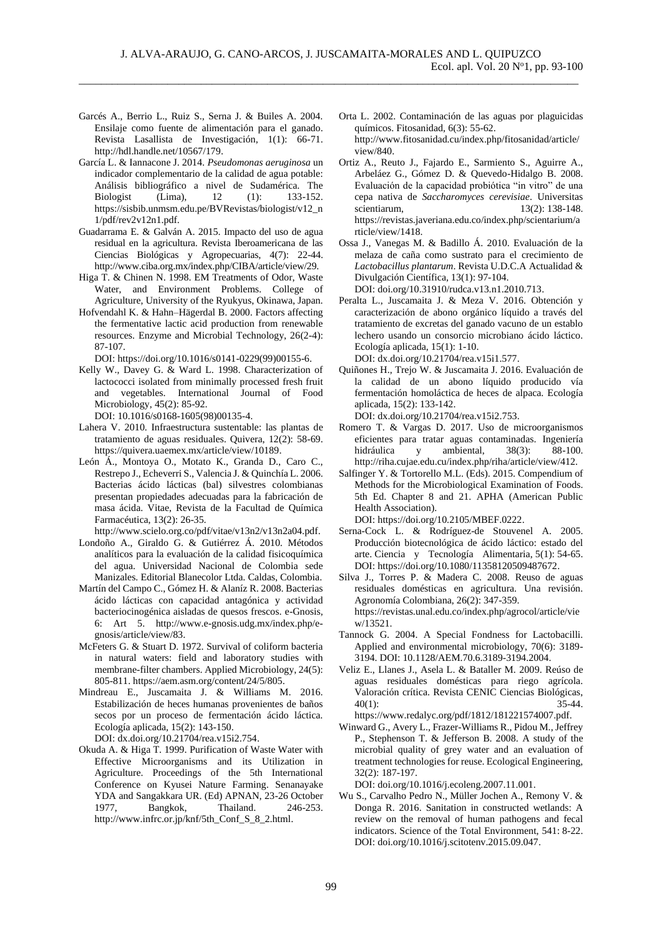- Garcés A., Berrio L., Ruiz S., Serna J. & Builes A. 2004. Ensilaje como fuente de alimentación para el ganado. Revista Lasallista de Investigación, 1(1): 66-71. [http://hdl.handle.net/10567/179.](http://hdl.handle.net/10567/179)
- García L. & Iannacone J. 2014. *Pseudomonas aeruginosa* un indicador complementario de la calidad de agua potable: Análisis bibliográfico a nivel de Sudamérica. The Biologist (Lima), 12 (1): 133-152. [https://sisbib.unmsm.edu.pe/BVRevistas/biologist/v12\\_n](https://sisbib.unmsm.edu.pe/BVRevistas/biologist/v12_n1/pdf/rev2v12n1.pdf) [1/pdf/rev2v12n1.pdf.](https://sisbib.unmsm.edu.pe/BVRevistas/biologist/v12_n1/pdf/rev2v12n1.pdf)
- Guadarrama E. & Galván A. 2015. Impacto del uso de agua residual en la agricultura. Revista Iberoamericana de las Ciencias Biológicas y Agropecuarias, 4(7): 22-44. [http://www.ciba.org.mx/index.php/CIBA/article/view/29.](http://www.ciba.org.mx/index.php/CIBA/article/view/29)
- Higa T. & Chinen N. 1998. EM Treatments of Odor, Waste Water, and Environment Problems. College of Agriculture, University of the Ryukyus, Okinawa, Japan.
- Hofvendahl K. & Hahn–Hägerdal B. 2000. Factors affecting the fermentative lactic acid production from renewable resources. Enzyme and Microbial Technology, 26(2-4): 87-107.

DOI: [https://doi.org/10.1016/s0141-0229\(99\)00155-6.](https://doi.org/10.1016/s0141-0229(99)00155-6)

Kelly W., Davey G. & Ward L. 1998. Characterization of lactococci isolated from minimally processed fresh fruit and vegetables. International Journal of Food Microbiology, 45(2): 85-92.

DOI: [10.1016/s0168-1605\(98\)00135-4.](http://doi.org/10.1016/s0168-1605(98)00135-4)

- Lahera V. 2010. Infraestructura sustentable: las plantas de tratamiento de aguas residuales. Quivera, 12(2): 58-69. [https://quivera.uaemex.mx/article/view/10189.](https://quivera.uaemex.mx/article/view/10189)
- León Á., Montoya O., Motato K., Granda D., Caro C., Restrepo J., Echeverri S., Valencia J. & Quinchía L. 2006. Bacterias ácido lácticas (bal) silvestres colombianas presentan propiedades adecuadas para la fabricación de masa ácida. Vitae, Revista de la Facultad de Química Farmacéutica, 13(2): 26-35.
- [http://www.scielo.org.co/pdf/vitae/v13n2/v13n2a04.pdf.](http://www.scielo.org.co/pdf/vitae/v13n2/v13n2a04.pdf) Londoño A., Giraldo G. & Gutiérrez Á. 2010. Métodos analíticos para la evaluación de la calidad fisicoquímica
- del agua. Universidad Nacional de Colombia sede Manizales. Editorial Blanecolor Ltda. Caldas, Colombia. Martín del Campo C., Gómez H. & Alaníz R. 2008. Bacterias
- ácido lácticas con capacidad antagónica y actividad bacteriocinogénica aisladas de quesos frescos. e-Gnosis, 6: Art 5. [http://www.e-gnosis.udg.mx/index.php/e](http://www.e-gnosis.udg.mx/index.php/e-gnosis/article/view/83)[gnosis/article/view/83.](http://www.e-gnosis.udg.mx/index.php/e-gnosis/article/view/83)
- McFeters G. & Stuart D. 1972. Survival of coliform bacteria in natural waters: field and laboratory studies with membrane-filter chambers. Applied Microbiology, 24(5): 805-811[. https://aem.asm.org/content/24/5/805.](https://aem.asm.org/content/24/5/805)
- Mindreau E., Juscamaita J. & Williams M. 2016. Estabilización de heces humanas provenientes de baños secos por un proceso de fermentación ácido láctica. Ecología aplicada, 15(2): 143-150. DOI: [dx.doi.org/10.21704/rea.v15i2.754.](http://dx.doi.org/10.21704/rea.v15i2.754)
- Okuda A. & Higa T. 1999. Purification of Waste Water with Effective Microorganisms and its Utilization in Agriculture. Proceedings of the 5th International Conference on Kyusei Nature Farming. Senanayake YDA and Sangakkara UR. (Ed) APNAN, 23-26 October 1977, Bangkok, Thailand. 246-253. [http://www.infrc.or.jp/knf/5th\\_Conf\\_S\\_8\\_2.html.](http://www.infrc.or.jp/knf/5th_Conf_S_8_2.html)
- Orta L. 2002. Contaminación de las aguas por plaguicidas químicos. Fitosanidad, 6(3): 55-62. [http://www.fitosanidad.cu/index.php/fitosanidad/article/](http://www.fitosanidad.cu/index.php/fitosanidad/article/view/840) [view/840.](http://www.fitosanidad.cu/index.php/fitosanidad/article/view/840)
- Ortiz A., Reuto J., Fajardo E., Sarmiento S., Aguirre A., Arbeláez G., Gómez D. & Quevedo-Hidalgo B. 2008. Evaluación de la capacidad probiótica "in vitro" de una cepa nativa de *Saccharomyces cerevisiae*. Universitas scientiarum, 13(2): 138-148. [https://revistas.javeriana.edu.co/index.php/scientarium/a](https://revistas.javeriana.edu.co/index.php/scientarium/article/view/1418) [rticle/view/1418.](https://revistas.javeriana.edu.co/index.php/scientarium/article/view/1418)
- Ossa J., Vanegas M. & Badillo Á. 2010. Evaluación de la melaza de caña como sustrato para el crecimiento de *Lactobacillus plantarum*. Revista U.D.C.A Actualidad & Divulgación Científica, 13(1): 97-104. DOI: [doi.org/10.31910/rudca.v13.n1.2010.713.](http://doi.org/10.31910/rudca.v13.n1.2010.713)
- Peralta L., Juscamaita J. & Meza V. 2016. Obtención y caracterización de abono orgánico líquido a través del tratamiento de excretas del ganado vacuno de un establo lechero usando un consorcio microbiano ácido láctico. Ecología aplicada, 15(1): 1-10. DOI: [dx.doi.org/10.21704/rea.v15i1.577.](http://dx.doi.org/10.21704/rea.v15i1.577)
- Quiñones H., Trejo W. & Juscamaita J. 2016. Evaluación de la calidad de un abono líquido producido vía fermentación homoláctica de heces de alpaca. Ecología aplicada, 15(2): 133-142.

DOI: [dx.doi.org/10.21704/rea.v15i2.753.](http://dx.doi.org/10.21704/rea.v15i2.753)

- Romero T. & Vargas D. 2017. Uso de microorganismos eficientes para tratar aguas contaminadas. Ingeniería hidráulica y ambiental, 38(3): 88-100. [http://riha.cujae.edu.cu/index.php/riha/article/view/412.](http://riha.cujae.edu.cu/index.php/riha/article/view/412)
- Salfinger Y. & Tortorello M.L. (Eds). 2015. Compendium of Methods for the Microbiological Examination of Foods. 5th Ed. Chapter 8 and 21. APHA (American Public Health Association).

DOI: [https://doi.org/10.2105/MBEF.0222.](https://doi.org/10.2105/MBEF.0222)

- Serna-Cock L. & Rodríguez-de Stouvenel A. 2005. Producción biotecnológica de ácido láctico: estado del arte. Ciencia y Tecnología Alimentaria, 5(1): 54-65. DOI: [https://doi.org/10.1080/11358120509487672.](https://doi.org/10.1080/11358120509487672)
- Silva J., Torres P. & Madera C. 2008. Reuso de aguas residuales domésticas en agricultura. Una revisión. Agronomía Colombiana, 26(2): 347-359. [https://revistas.unal.edu.co/index.php/agrocol/article/vie](https://revistas.unal.edu.co/index.php/agrocol/article/view/13521) [w/13521.](https://revistas.unal.edu.co/index.php/agrocol/article/view/13521)
- Tannock G. 2004. A Special Fondness for Lactobacilli. Applied and environmental microbiology, 70(6): 3189- 3194. DOI: [10.1128/AEM.70.6.3189-3194.2004.](http://dx.doi.org/10.1128/AEM.70.6.3189-3194.2004)
- Veliz E., Llanes J., Asela L. & Bataller M. 2009. Reúso de aguas residuales domésticas para riego agrícola. Valoración crítica. Revista CENIC Ciencias Biológicas,  $40(1)$ : 35-44. [https://www.redalyc.org/pdf/1812/181221574007.pdf.](https://www.redalyc.org/pdf/1812/181221574007.pdf)
- Winward G., Avery L., Frazer-Williams R., Pidou M., Jeffrey P., Stephenson T. & Jefferson B. 2008. A study of the microbial quality of grey water and an evaluation of treatment technologies for reuse. Ecological Engineering, 32(2): 187-197.

DOI: [doi.org/10.1016/j.ecoleng.2007.11.001.](https://doi.org/10.1016/j.ecoleng.2007.11.001)

Wu S., Carvalho Pedro N., Müller Jochen A., Remony V. & Donga R. 2016. Sanitation in constructed wetlands: A review on the removal of human pathogens and fecal indicators. Science of the Total Environment, 541: 8-22. DOI: [doi.org/10.1016/j.scitotenv.2015.09.047.](http://doi.org/10.1016/j.scitotenv.2015.09.047)